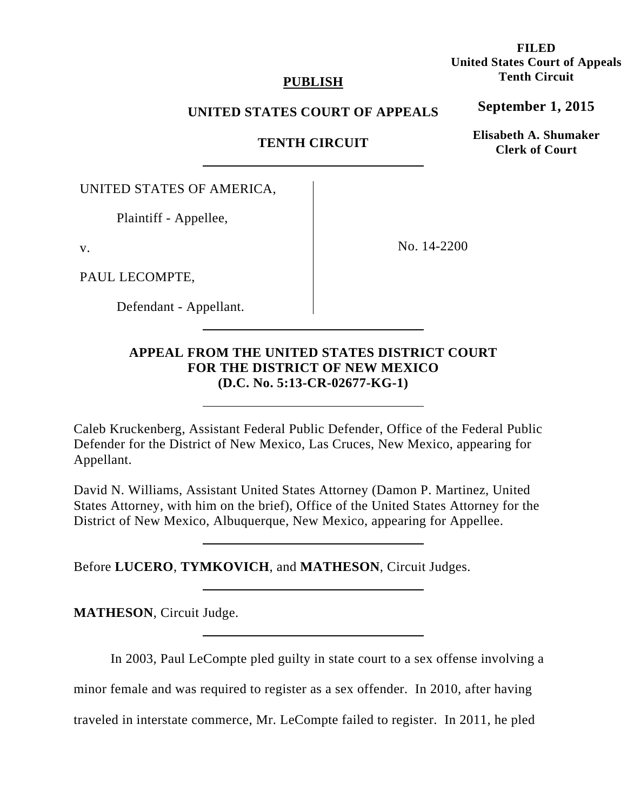# **PUBLISH**

# **UNITED STATES COURT OF APPEALS**

 **TENTH CIRCUIT**

UNITED STATES OF AMERICA,

Plaintiff - Appellee,

v.

PAUL LECOMPTE,

Defendant - Appellant.

No. 14-2200

**APPEAL FROM THE UNITED STATES DISTRICT COURT FOR THE DISTRICT OF NEW MEXICO (D.C. No. 5:13-CR-02677-KG-1)** 

Caleb Kruckenberg, Assistant Federal Public Defender, Office of the Federal Public Defender for the District of New Mexico, Las Cruces, New Mexico, appearing for Appellant.

David N. Williams, Assistant United States Attorney (Damon P. Martinez, United States Attorney, with him on the brief), Office of the United States Attorney for the District of New Mexico, Albuquerque, New Mexico, appearing for Appellee.

Before **LUCERO**, **TYMKOVICH**, and **MATHESON**, Circuit Judges.

**MATHESON**, Circuit Judge.

In 2003, Paul LeCompte pled guilty in state court to a sex offense involving a

minor female and was required to register as a sex offender. In 2010, after having

traveled in interstate commerce, Mr. LeCompte failed to register. In 2011, he pled

**FILED United States Court of Appeals Tenth Circuit** 

**September 1, 2015**

**Elisabeth A. Shumaker Clerk of Court**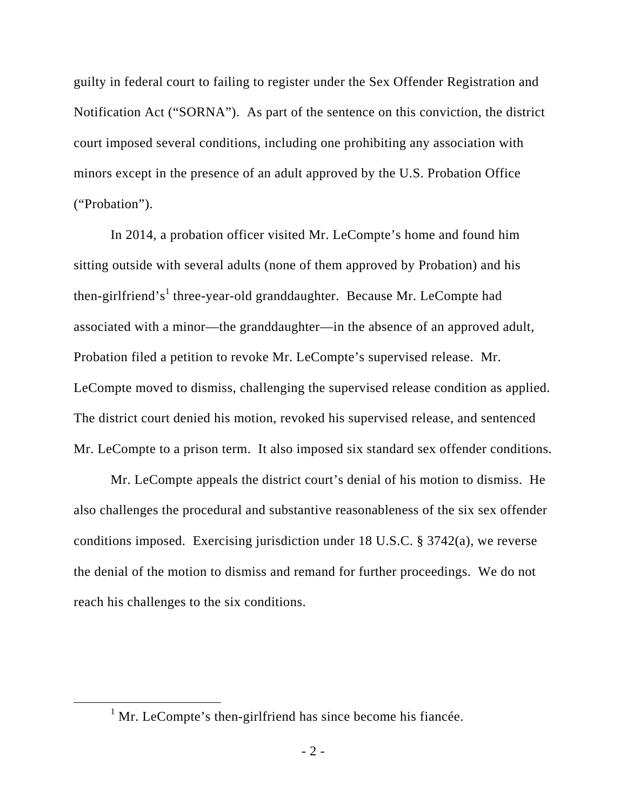guilty in federal court to failing to register under the Sex Offender Registration and Notification Act ("SORNA"). As part of the sentence on this conviction, the district court imposed several conditions, including one prohibiting any association with minors except in the presence of an adult approved by the U.S. Probation Office ("Probation").

In 2014, a probation officer visited Mr. LeCompte's home and found him sitting outside with several adults (none of them approved by Probation) and his then-girlfriend's<sup>1</sup> three-year-old granddaughter. Because Mr. LeCompte had associated with a minor—the granddaughter—in the absence of an approved adult, Probation filed a petition to revoke Mr. LeCompte's supervised release. Mr. LeCompte moved to dismiss, challenging the supervised release condition as applied. The district court denied his motion, revoked his supervised release, and sentenced Mr. LeCompte to a prison term. It also imposed six standard sex offender conditions.

Mr. LeCompte appeals the district court's denial of his motion to dismiss. He also challenges the procedural and substantive reasonableness of the six sex offender conditions imposed. Exercising jurisdiction under 18 U.S.C. § 3742(a), we reverse the denial of the motion to dismiss and remand for further proceedings. We do not reach his challenges to the six conditions.

<sup>&</sup>lt;u>1</u>  $<sup>1</sup>$  Mr. LeCompte's then-girlfriend has since become his fiancée.</sup>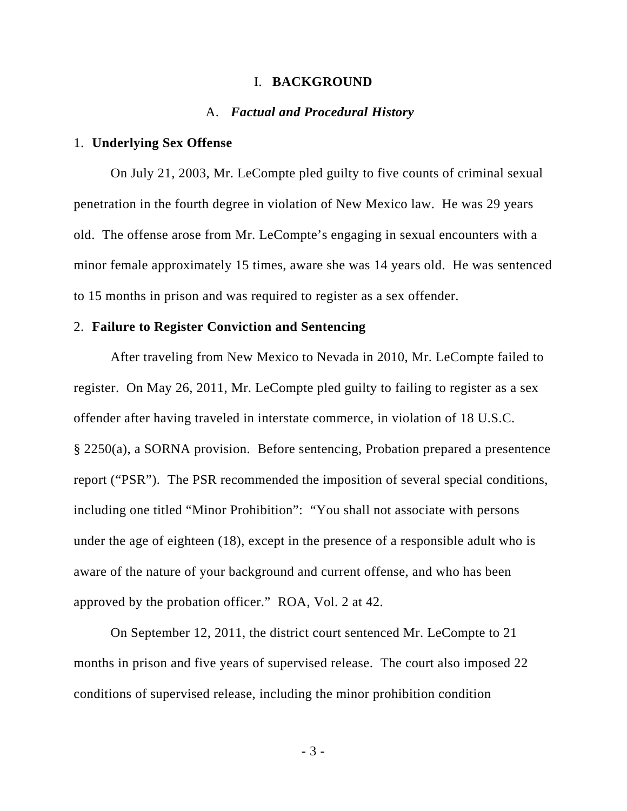#### I. **BACKGROUND**

#### A. *Factual and Procedural History*

# 1. **Underlying Sex Offense**

On July 21, 2003, Mr. LeCompte pled guilty to five counts of criminal sexual penetration in the fourth degree in violation of New Mexico law. He was 29 years old. The offense arose from Mr. LeCompte's engaging in sexual encounters with a minor female approximately 15 times, aware she was 14 years old. He was sentenced to 15 months in prison and was required to register as a sex offender.

#### 2. **Failure to Register Conviction and Sentencing**

After traveling from New Mexico to Nevada in 2010, Mr. LeCompte failed to register. On May 26, 2011, Mr. LeCompte pled guilty to failing to register as a sex offender after having traveled in interstate commerce, in violation of 18 U.S.C. § 2250(a), a SORNA provision. Before sentencing, Probation prepared a presentence report ("PSR"). The PSR recommended the imposition of several special conditions, including one titled "Minor Prohibition": "You shall not associate with persons under the age of eighteen (18), except in the presence of a responsible adult who is aware of the nature of your background and current offense, and who has been approved by the probation officer." ROA, Vol. 2 at 42.

On September 12, 2011, the district court sentenced Mr. LeCompte to 21 months in prison and five years of supervised release. The court also imposed 22 conditions of supervised release, including the minor prohibition condition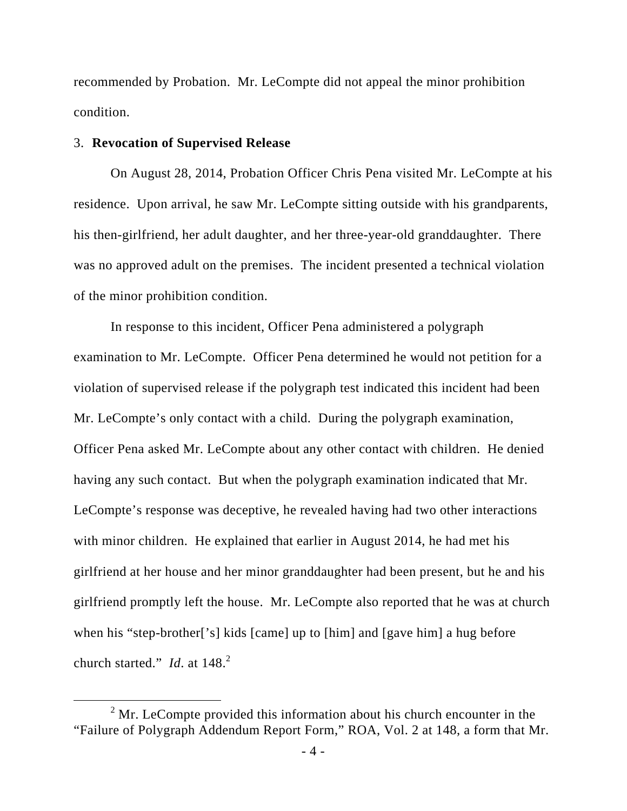recommended by Probation. Mr. LeCompte did not appeal the minor prohibition condition.

## 3. **Revocation of Supervised Release**

On August 28, 2014, Probation Officer Chris Pena visited Mr. LeCompte at his residence. Upon arrival, he saw Mr. LeCompte sitting outside with his grandparents, his then-girlfriend, her adult daughter, and her three-year-old granddaughter. There was no approved adult on the premises. The incident presented a technical violation of the minor prohibition condition.

In response to this incident, Officer Pena administered a polygraph examination to Mr. LeCompte. Officer Pena determined he would not petition for a violation of supervised release if the polygraph test indicated this incident had been Mr. LeCompte's only contact with a child. During the polygraph examination, Officer Pena asked Mr. LeCompte about any other contact with children. He denied having any such contact. But when the polygraph examination indicated that Mr. LeCompte's response was deceptive, he revealed having had two other interactions with minor children. He explained that earlier in August 2014, he had met his girlfriend at her house and her minor granddaughter had been present, but he and his girlfriend promptly left the house. Mr. LeCompte also reported that he was at church when his "step-brother['s] kids [came] up to [him] and [gave him] a hug before church started." *Id.* at 148.<sup>2</sup>

 $\frac{1}{2}$  $2$  Mr. LeCompte provided this information about his church encounter in the "Failure of Polygraph Addendum Report Form," ROA, Vol. 2 at 148, a form that Mr.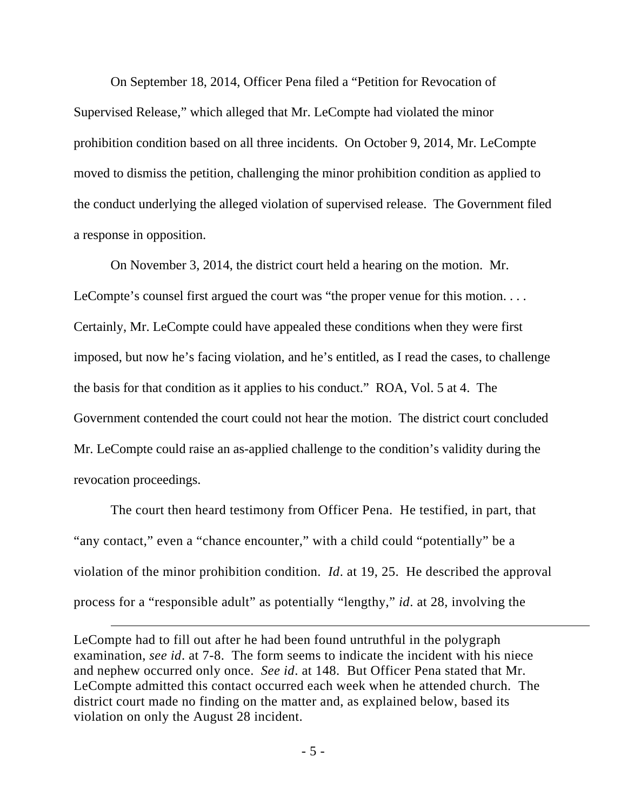On September 18, 2014, Officer Pena filed a "Petition for Revocation of Supervised Release," which alleged that Mr. LeCompte had violated the minor prohibition condition based on all three incidents. On October 9, 2014, Mr. LeCompte moved to dismiss the petition, challenging the minor prohibition condition as applied to the conduct underlying the alleged violation of supervised release. The Government filed a response in opposition.

On November 3, 2014, the district court held a hearing on the motion. Mr. LeCompte's counsel first argued the court was "the proper venue for this motion. . . . Certainly, Mr. LeCompte could have appealed these conditions when they were first imposed, but now he's facing violation, and he's entitled, as I read the cases, to challenge the basis for that condition as it applies to his conduct." ROA, Vol. 5 at 4. The Government contended the court could not hear the motion. The district court concluded Mr. LeCompte could raise an as-applied challenge to the condition's validity during the revocation proceedings.

The court then heard testimony from Officer Pena. He testified, in part, that "any contact," even a "chance encounter," with a child could "potentially" be a violation of the minor prohibition condition. *Id*. at 19, 25. He described the approval process for a "responsible adult" as potentially "lengthy," *id*. at 28, involving the

LeCompte had to fill out after he had been found untruthful in the polygraph examination, *see id*. at 7-8. The form seems to indicate the incident with his niece and nephew occurred only once. *See id*. at 148. But Officer Pena stated that Mr. LeCompte admitted this contact occurred each week when he attended church. The district court made no finding on the matter and, as explained below, based its violation on only the August 28 incident.

 $\overline{a}$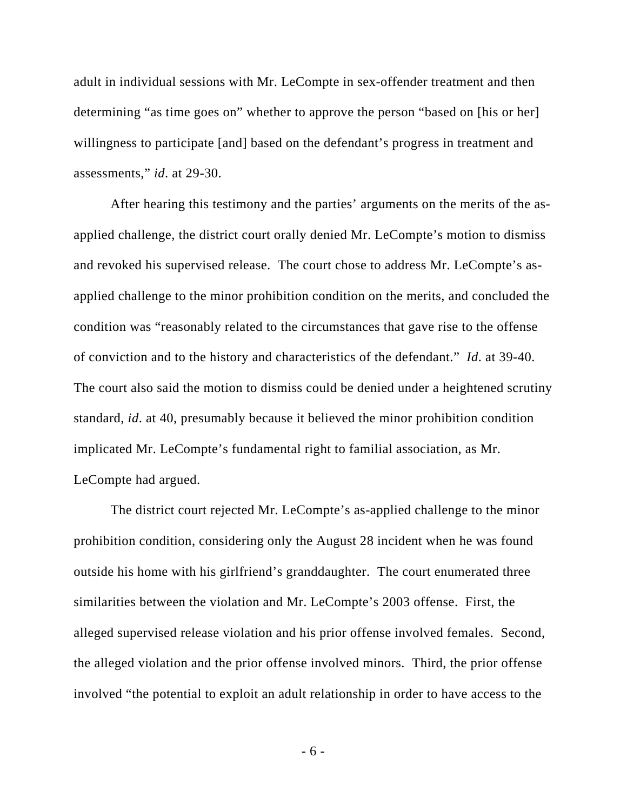adult in individual sessions with Mr. LeCompte in sex-offender treatment and then determining "as time goes on" whether to approve the person "based on [his or her] willingness to participate [and] based on the defendant's progress in treatment and assessments," *id*. at 29-30.

After hearing this testimony and the parties' arguments on the merits of the asapplied challenge, the district court orally denied Mr. LeCompte's motion to dismiss and revoked his supervised release. The court chose to address Mr. LeCompte's asapplied challenge to the minor prohibition condition on the merits, and concluded the condition was "reasonably related to the circumstances that gave rise to the offense of conviction and to the history and characteristics of the defendant." *Id*. at 39-40. The court also said the motion to dismiss could be denied under a heightened scrutiny standard, *id*. at 40, presumably because it believed the minor prohibition condition implicated Mr. LeCompte's fundamental right to familial association, as Mr. LeCompte had argued.

The district court rejected Mr. LeCompte's as-applied challenge to the minor prohibition condition, considering only the August 28 incident when he was found outside his home with his girlfriend's granddaughter. The court enumerated three similarities between the violation and Mr. LeCompte's 2003 offense. First, the alleged supervised release violation and his prior offense involved females. Second, the alleged violation and the prior offense involved minors. Third, the prior offense involved "the potential to exploit an adult relationship in order to have access to the

- 6 -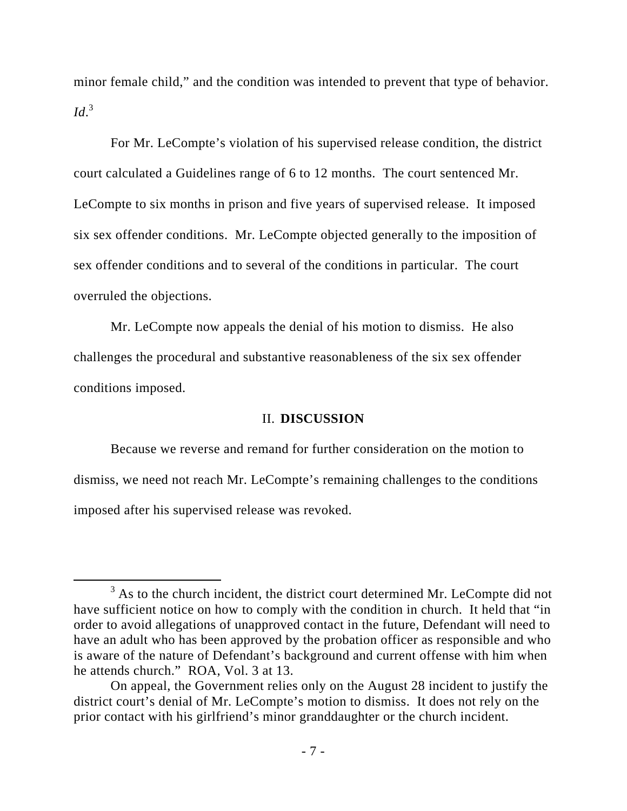minor female child," and the condition was intended to prevent that type of behavior. *Id*. 3

For Mr. LeCompte's violation of his supervised release condition, the district court calculated a Guidelines range of 6 to 12 months. The court sentenced Mr. LeCompte to six months in prison and five years of supervised release. It imposed six sex offender conditions. Mr. LeCompte objected generally to the imposition of sex offender conditions and to several of the conditions in particular. The court overruled the objections.

Mr. LeCompte now appeals the denial of his motion to dismiss. He also challenges the procedural and substantive reasonableness of the six sex offender conditions imposed.

# II. **DISCUSSION**

Because we reverse and remand for further consideration on the motion to dismiss, we need not reach Mr. LeCompte's remaining challenges to the conditions imposed after his supervised release was revoked.

 $\frac{1}{3}$ <sup>3</sup> As to the church incident, the district court determined Mr. LeCompte did not have sufficient notice on how to comply with the condition in church. It held that "in order to avoid allegations of unapproved contact in the future, Defendant will need to have an adult who has been approved by the probation officer as responsible and who is aware of the nature of Defendant's background and current offense with him when he attends church." ROA, Vol. 3 at 13.

On appeal, the Government relies only on the August 28 incident to justify the district court's denial of Mr. LeCompte's motion to dismiss. It does not rely on the prior contact with his girlfriend's minor granddaughter or the church incident.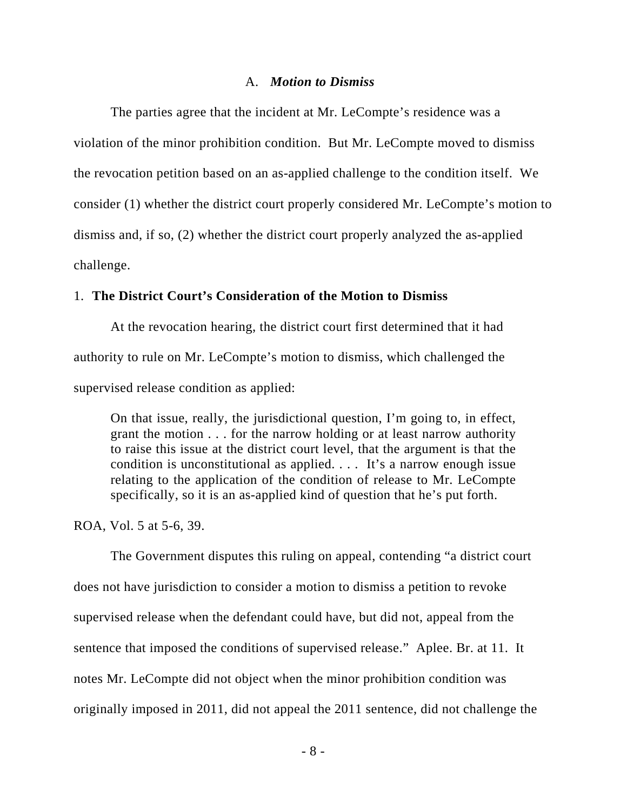#### A. *Motion to Dismiss*

The parties agree that the incident at Mr. LeCompte's residence was a violation of the minor prohibition condition. But Mr. LeCompte moved to dismiss the revocation petition based on an as-applied challenge to the condition itself. We consider (1) whether the district court properly considered Mr. LeCompte's motion to dismiss and, if so, (2) whether the district court properly analyzed the as-applied challenge.

# 1. **The District Court's Consideration of the Motion to Dismiss**

At the revocation hearing, the district court first determined that it had authority to rule on Mr. LeCompte's motion to dismiss, which challenged the supervised release condition as applied:

On that issue, really, the jurisdictional question, I'm going to, in effect, grant the motion . . . for the narrow holding or at least narrow authority to raise this issue at the district court level, that the argument is that the condition is unconstitutional as applied. . . . It's a narrow enough issue relating to the application of the condition of release to Mr. LeCompte specifically, so it is an as-applied kind of question that he's put forth.

ROA, Vol. 5 at 5-6, 39.

The Government disputes this ruling on appeal, contending "a district court does not have jurisdiction to consider a motion to dismiss a petition to revoke supervised release when the defendant could have, but did not, appeal from the sentence that imposed the conditions of supervised release." Aplee. Br. at 11. It notes Mr. LeCompte did not object when the minor prohibition condition was originally imposed in 2011, did not appeal the 2011 sentence, did not challenge the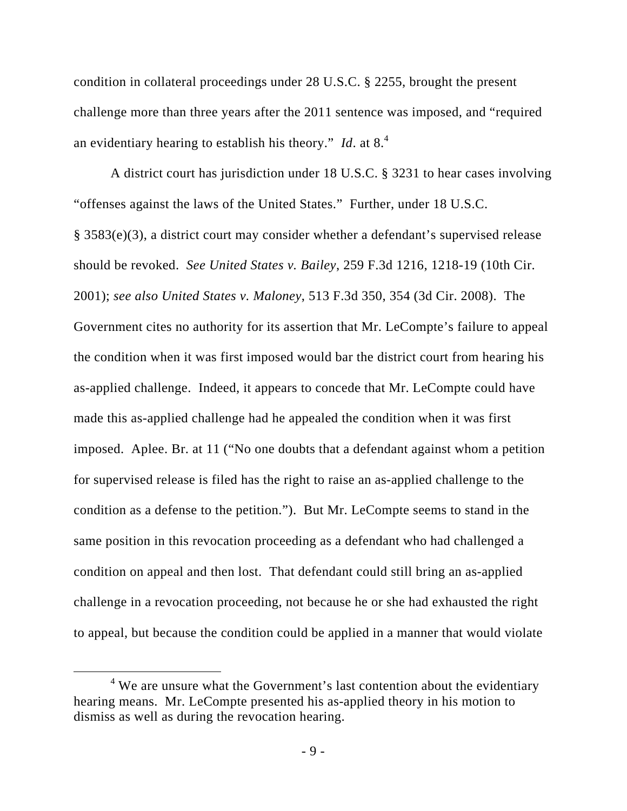condition in collateral proceedings under 28 U.S.C. § 2255, brought the present challenge more than three years after the 2011 sentence was imposed, and "required an evidentiary hearing to establish his theory." *Id*. at 8.<sup>4</sup>

A district court has jurisdiction under 18 U.S.C. § 3231 to hear cases involving "offenses against the laws of the United States." Further, under 18 U.S.C. § 3583(e)(3), a district court may consider whether a defendant's supervised release should be revoked. *See United States v. Bailey*, 259 F.3d 1216, 1218-19 (10th Cir. 2001); *see also United States v. Maloney*, 513 F.3d 350, 354 (3d Cir. 2008). The Government cites no authority for its assertion that Mr. LeCompte's failure to appeal the condition when it was first imposed would bar the district court from hearing his as-applied challenge. Indeed, it appears to concede that Mr. LeCompte could have made this as-applied challenge had he appealed the condition when it was first imposed. Aplee. Br. at 11 ("No one doubts that a defendant against whom a petition for supervised release is filed has the right to raise an as-applied challenge to the condition as a defense to the petition."). But Mr. LeCompte seems to stand in the same position in this revocation proceeding as a defendant who had challenged a condition on appeal and then lost. That defendant could still bring an as-applied challenge in a revocation proceeding, not because he or she had exhausted the right to appeal, but because the condition could be applied in a manner that would violate

 $\frac{1}{4}$  $4$  We are unsure what the Government's last contention about the evidentiary hearing means. Mr. LeCompte presented his as-applied theory in his motion to dismiss as well as during the revocation hearing.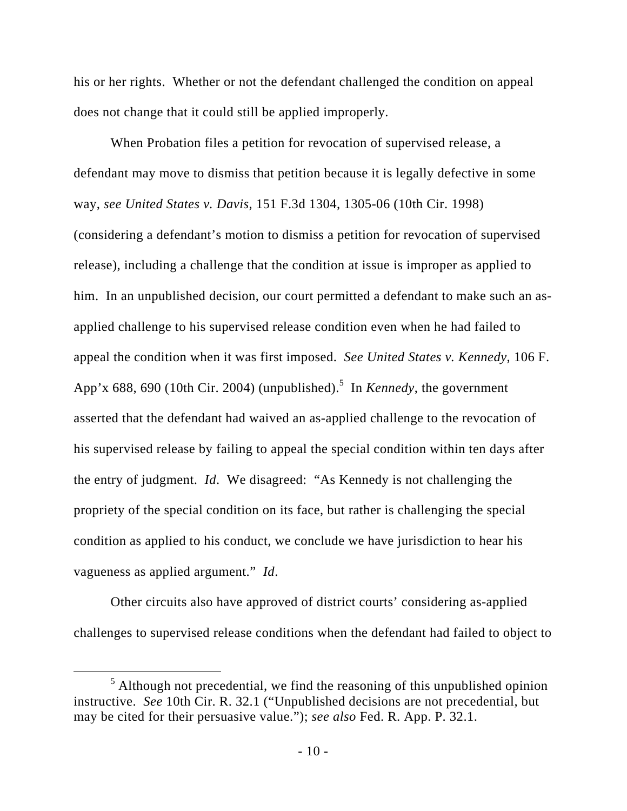his or her rights. Whether or not the defendant challenged the condition on appeal does not change that it could still be applied improperly.

When Probation files a petition for revocation of supervised release, a defendant may move to dismiss that petition because it is legally defective in some way, *see United States v. Davis*, 151 F.3d 1304, 1305-06 (10th Cir. 1998) (considering a defendant's motion to dismiss a petition for revocation of supervised release), including a challenge that the condition at issue is improper as applied to him. In an unpublished decision, our court permitted a defendant to make such an asapplied challenge to his supervised release condition even when he had failed to appeal the condition when it was first imposed. *See United States v. Kennedy*, 106 F. App'x 688, 690 (10th Cir. 2004) (unpublished).<sup>5</sup> In *Kennedy*, the government asserted that the defendant had waived an as-applied challenge to the revocation of his supervised release by failing to appeal the special condition within ten days after the entry of judgment. *Id*. We disagreed: "As Kennedy is not challenging the propriety of the special condition on its face, but rather is challenging the special condition as applied to his conduct, we conclude we have jurisdiction to hear his vagueness as applied argument." *Id*.

Other circuits also have approved of district courts' considering as-applied challenges to supervised release conditions when the defendant had failed to object to

 $\frac{1}{5}$  $<sup>5</sup>$  Although not precedential, we find the reasoning of this unpublished opinion</sup> instructive. *See* 10th Cir. R. 32.1 ("Unpublished decisions are not precedential, but may be cited for their persuasive value."); *see also* Fed. R. App. P. 32.1.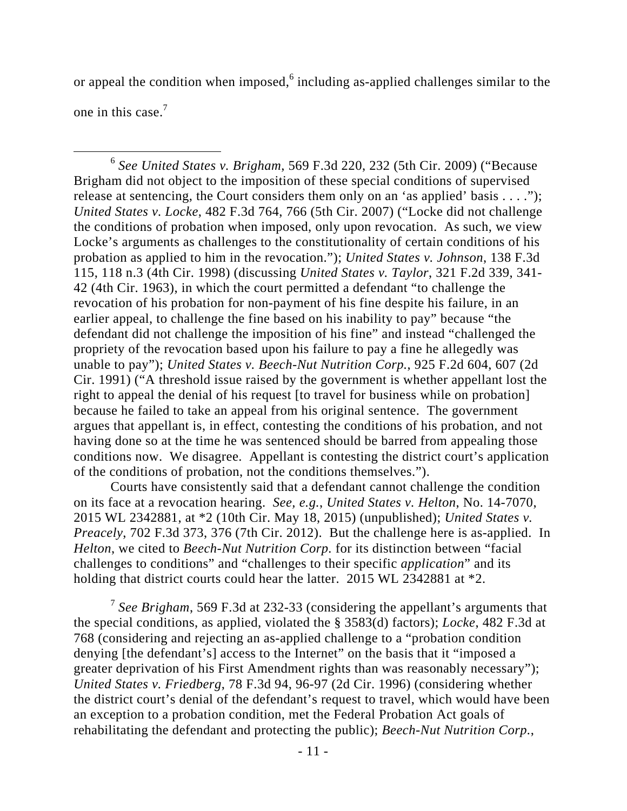or appeal the condition when imposed,  $6$  including as-applied challenges similar to the one in this case. $7$ 

 6 *See United States v. Brigham*, 569 F.3d 220, 232 (5th Cir. 2009) ("Because Brigham did not object to the imposition of these special conditions of supervised release at sentencing, the Court considers them only on an 'as applied' basis  $\dots$ ."); *United States v. Locke*, 482 F.3d 764, 766 (5th Cir. 2007) ("Locke did not challenge the conditions of probation when imposed, only upon revocation. As such, we view Locke's arguments as challenges to the constitutionality of certain conditions of his probation as applied to him in the revocation."); *United States v. Johnson*, 138 F.3d 115, 118 n.3 (4th Cir. 1998) (discussing *United States v. Taylor*, 321 F.2d 339, 341- 42 (4th Cir. 1963), in which the court permitted a defendant "to challenge the revocation of his probation for non-payment of his fine despite his failure, in an earlier appeal, to challenge the fine based on his inability to pay" because "the defendant did not challenge the imposition of his fine" and instead "challenged the propriety of the revocation based upon his failure to pay a fine he allegedly was unable to pay"); *United States v. Beech-Nut Nutrition Corp.*, 925 F.2d 604, 607 (2d Cir. 1991) ("A threshold issue raised by the government is whether appellant lost the right to appeal the denial of his request [to travel for business while on probation] because he failed to take an appeal from his original sentence. The government argues that appellant is, in effect, contesting the conditions of his probation, and not having done so at the time he was sentenced should be barred from appealing those conditions now. We disagree. Appellant is contesting the district court's application of the conditions of probation, not the conditions themselves.").

Courts have consistently said that a defendant cannot challenge the condition on its face at a revocation hearing. *See, e.g.*, *United States v. Helton*, No. 14-7070, 2015 WL 2342881, at \*2 (10th Cir. May 18, 2015) (unpublished); *United States v. Preacely*, 702 F.3d 373, 376 (7th Cir. 2012). But the challenge here is as-applied. In *Helton*, we cited to *Beech-Nut Nutrition Corp.* for its distinction between "facial challenges to conditions" and "challenges to their specific *application*" and its holding that district courts could hear the latter. 2015 WL 2342881 at  $*2$ .

<sup>7</sup> *See Brigham*, 569 F.3d at 232-33 (considering the appellant's arguments that the special conditions, as applied, violated the § 3583(d) factors); *Locke*, 482 F.3d at 768 (considering and rejecting an as-applied challenge to a "probation condition denying [the defendant's] access to the Internet" on the basis that it "imposed a greater deprivation of his First Amendment rights than was reasonably necessary"); *United States v. Friedberg*, 78 F.3d 94, 96-97 (2d Cir. 1996) (considering whether the district court's denial of the defendant's request to travel, which would have been an exception to a probation condition, met the Federal Probation Act goals of rehabilitating the defendant and protecting the public); *Beech-Nut Nutrition Corp.*,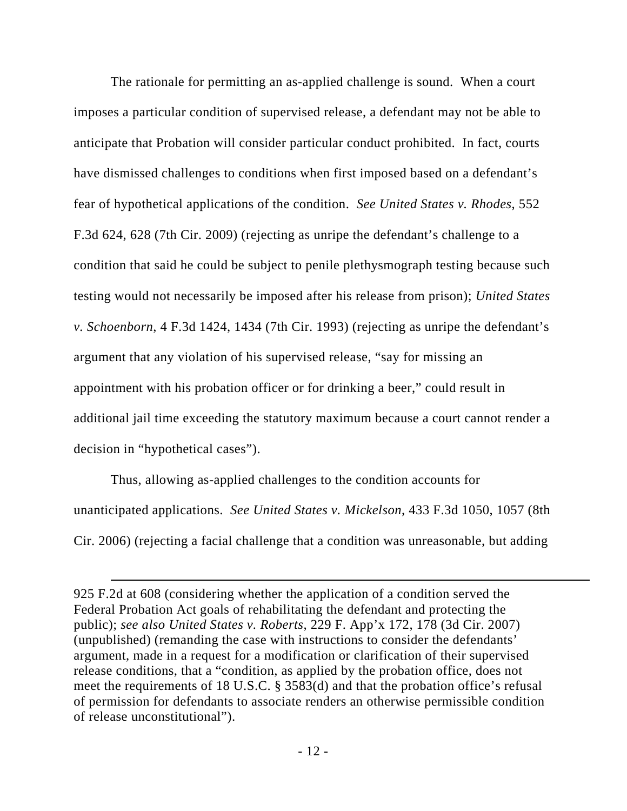The rationale for permitting an as-applied challenge is sound. When a court imposes a particular condition of supervised release, a defendant may not be able to anticipate that Probation will consider particular conduct prohibited. In fact, courts have dismissed challenges to conditions when first imposed based on a defendant's fear of hypothetical applications of the condition. *See United States v. Rhodes*, 552 F.3d 624, 628 (7th Cir. 2009) (rejecting as unripe the defendant's challenge to a condition that said he could be subject to penile plethysmograph testing because such testing would not necessarily be imposed after his release from prison); *United States v. Schoenborn*, 4 F.3d 1424, 1434 (7th Cir. 1993) (rejecting as unripe the defendant's argument that any violation of his supervised release, "say for missing an appointment with his probation officer or for drinking a beer," could result in additional jail time exceeding the statutory maximum because a court cannot render a decision in "hypothetical cases").

Thus, allowing as-applied challenges to the condition accounts for unanticipated applications. *See United States v. Mickelson*, 433 F.3d 1050, 1057 (8th Cir. 2006) (rejecting a facial challenge that a condition was unreasonable, but adding

 $\overline{a}$ 

<sup>925</sup> F.2d at 608 (considering whether the application of a condition served the Federal Probation Act goals of rehabilitating the defendant and protecting the public); *see also United States v. Roberts*, 229 F. App'x 172, 178 (3d Cir. 2007) (unpublished) (remanding the case with instructions to consider the defendants' argument, made in a request for a modification or clarification of their supervised release conditions, that a "condition, as applied by the probation office, does not meet the requirements of 18 U.S.C. § 3583(d) and that the probation office's refusal of permission for defendants to associate renders an otherwise permissible condition of release unconstitutional").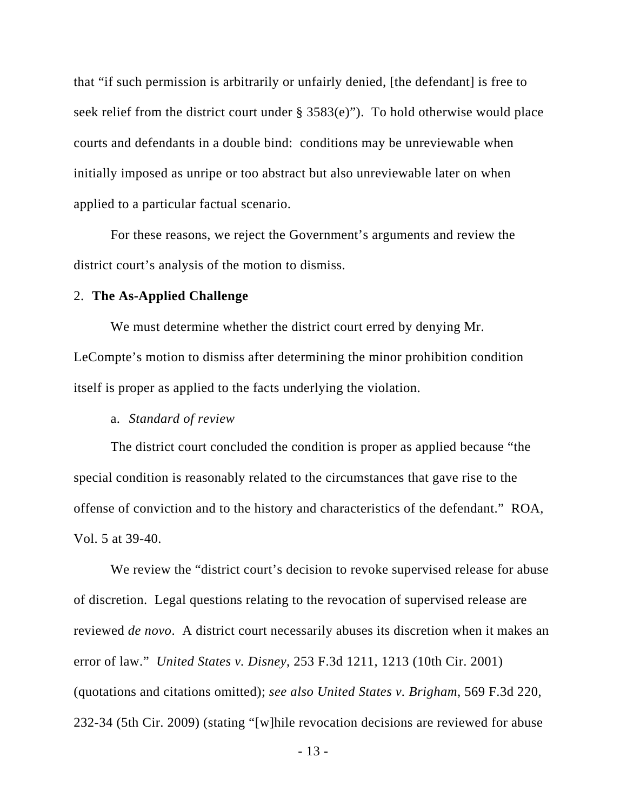that "if such permission is arbitrarily or unfairly denied, [the defendant] is free to seek relief from the district court under § 3583(e)"). To hold otherwise would place courts and defendants in a double bind: conditions may be unreviewable when initially imposed as unripe or too abstract but also unreviewable later on when applied to a particular factual scenario.

For these reasons, we reject the Government's arguments and review the district court's analysis of the motion to dismiss.

# 2. **The As-Applied Challenge**

We must determine whether the district court erred by denying Mr. LeCompte's motion to dismiss after determining the minor prohibition condition itself is proper as applied to the facts underlying the violation.

# a. *Standard of review*

The district court concluded the condition is proper as applied because "the special condition is reasonably related to the circumstances that gave rise to the offense of conviction and to the history and characteristics of the defendant." ROA, Vol. 5 at 39-40.

We review the "district court's decision to revoke supervised release for abuse of discretion. Legal questions relating to the revocation of supervised release are reviewed *de novo*. A district court necessarily abuses its discretion when it makes an error of law." *United States v. Disney*, 253 F.3d 1211, 1213 (10th Cir. 2001) (quotations and citations omitted); *see also United States v. Brigham*, 569 F.3d 220, 232-34 (5th Cir. 2009) (stating "[w]hile revocation decisions are reviewed for abuse

- 13 -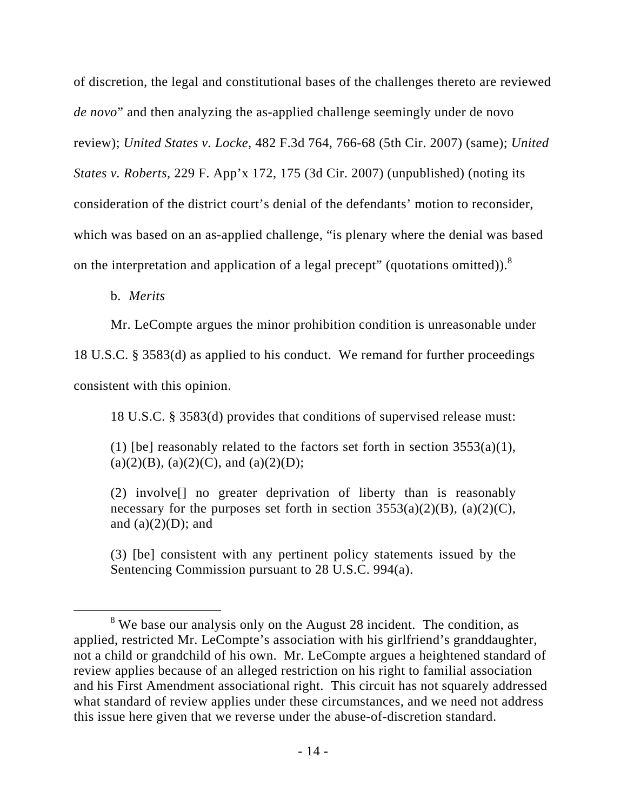of discretion, the legal and constitutional bases of the challenges thereto are reviewed *de novo*" and then analyzing the as-applied challenge seemingly under de novo review); *United States v. Locke*, 482 F.3d 764, 766-68 (5th Cir. 2007) (same); *United States v. Roberts*, 229 F. App'x 172, 175 (3d Cir. 2007) (unpublished) (noting its consideration of the district court's denial of the defendants' motion to reconsider, which was based on an as-applied challenge, "is plenary where the denial was based on the interpretation and application of a legal precept" (quotations omitted)).<sup>8</sup>

b. *Merits* 

Mr. LeCompte argues the minor prohibition condition is unreasonable under

18 U.S.C. § 3583(d) as applied to his conduct. We remand for further proceedings consistent with this opinion.

18 U.S.C. § 3583(d) provides that conditions of supervised release must:

(1) [be] reasonably related to the factors set forth in section  $3553(a)(1)$ ,  $(a)(2)(B)$ ,  $(a)(2)(C)$ , and  $(a)(2)(D)$ ;

(2) involve[] no greater deprivation of liberty than is reasonably necessary for the purposes set forth in section  $3553(a)(2)(B)$ ,  $(a)(2)(C)$ , and  $(a)(2)(D)$ ; and

(3) [be] consistent with any pertinent policy statements issued by the Sentencing Commission pursuant to 28 U.S.C. 994(a).

 <sup>8</sup>  $8$  We base our analysis only on the August 28 incident. The condition, as applied, restricted Mr. LeCompte's association with his girlfriend's granddaughter, not a child or grandchild of his own. Mr. LeCompte argues a heightened standard of review applies because of an alleged restriction on his right to familial association and his First Amendment associational right. This circuit has not squarely addressed what standard of review applies under these circumstances, and we need not address this issue here given that we reverse under the abuse-of-discretion standard.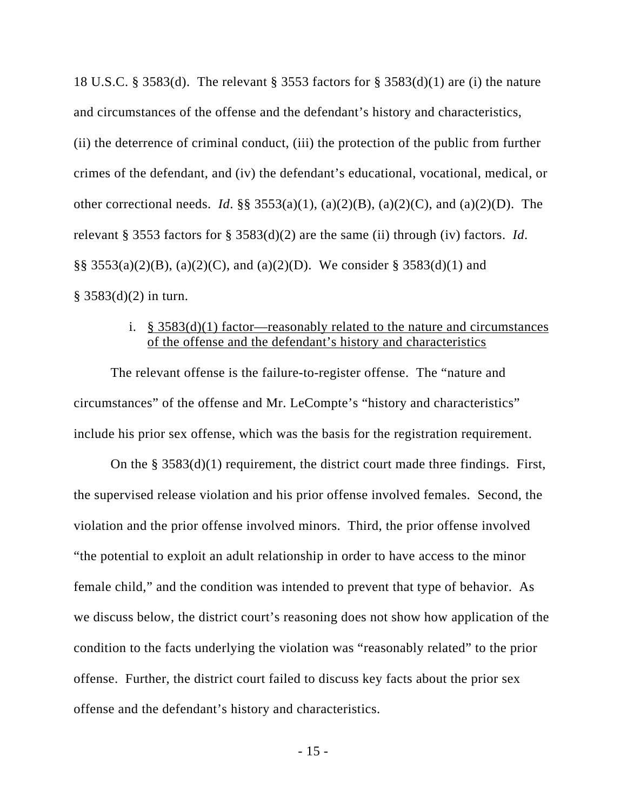18 U.S.C. § 3583(d). The relevant § 3553 factors for § 3583(d)(1) are (i) the nature and circumstances of the offense and the defendant's history and characteristics, (ii) the deterrence of criminal conduct, (iii) the protection of the public from further crimes of the defendant, and (iv) the defendant's educational, vocational, medical, or other correctional needs. *Id*. §§ 3553(a)(1), (a)(2)(B), (a)(2)(C), and (a)(2)(D). The relevant § 3553 factors for § 3583(d)(2) are the same (ii) through (iv) factors. *Id*. §§ 3553(a)(2)(B), (a)(2)(C), and (a)(2)(D). We consider § 3583(d)(1) and  $§ 3583(d)(2)$  in turn.

# i.  $§ 3583(d)(1)$  factor—reasonably related to the nature and circumstances of the offense and the defendant's history and characteristics

The relevant offense is the failure-to-register offense. The "nature and circumstances" of the offense and Mr. LeCompte's "history and characteristics" include his prior sex offense, which was the basis for the registration requirement.

On the § 3583(d)(1) requirement, the district court made three findings. First, the supervised release violation and his prior offense involved females. Second, the violation and the prior offense involved minors. Third, the prior offense involved "the potential to exploit an adult relationship in order to have access to the minor female child," and the condition was intended to prevent that type of behavior. As we discuss below, the district court's reasoning does not show how application of the condition to the facts underlying the violation was "reasonably related" to the prior offense. Further, the district court failed to discuss key facts about the prior sex offense and the defendant's history and characteristics.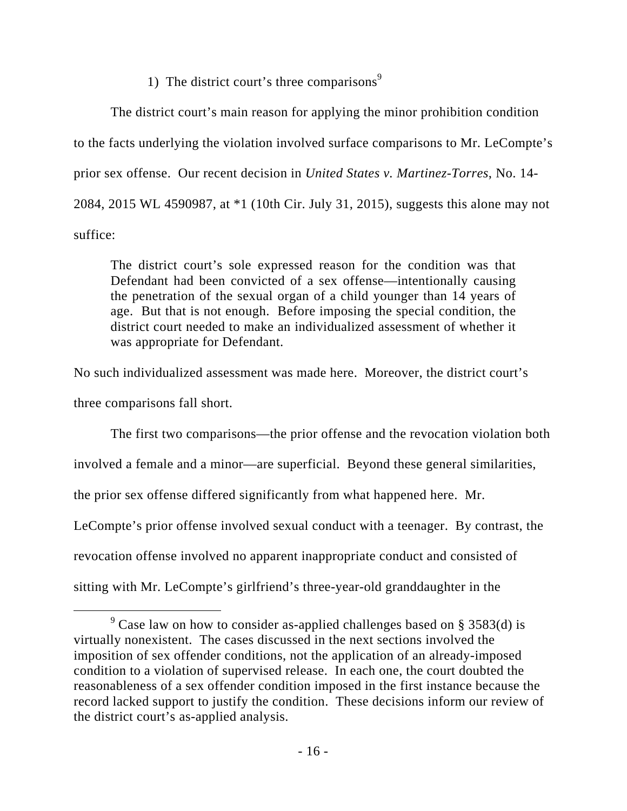# 1) The district court's three comparisons $9$

The district court's main reason for applying the minor prohibition condition to the facts underlying the violation involved surface comparisons to Mr. LeCompte's prior sex offense. Our recent decision in *United States v. Martinez-Torres*, No. 14- 2084, 2015 WL 4590987, at \*1 (10th Cir. July 31, 2015), suggests this alone may not suffice:

The district court's sole expressed reason for the condition was that Defendant had been convicted of a sex offense—intentionally causing the penetration of the sexual organ of a child younger than 14 years of age. But that is not enough. Before imposing the special condition, the district court needed to make an individualized assessment of whether it was appropriate for Defendant.

No such individualized assessment was made here. Moreover, the district court's three comparisons fall short.

The first two comparisons—the prior offense and the revocation violation both involved a female and a minor—are superficial. Beyond these general similarities, the prior sex offense differed significantly from what happened here. Mr. LeCompte's prior offense involved sexual conduct with a teenager. By contrast, the revocation offense involved no apparent inappropriate conduct and consisted of sitting with Mr. LeCompte's girlfriend's three-year-old granddaughter in the

 $\frac{1}{\sqrt{9}}$  $\degree$  Case law on how to consider as-applied challenges based on § 3583(d) is virtually nonexistent. The cases discussed in the next sections involved the imposition of sex offender conditions, not the application of an already-imposed condition to a violation of supervised release. In each one, the court doubted the reasonableness of a sex offender condition imposed in the first instance because the record lacked support to justify the condition. These decisions inform our review of the district court's as-applied analysis.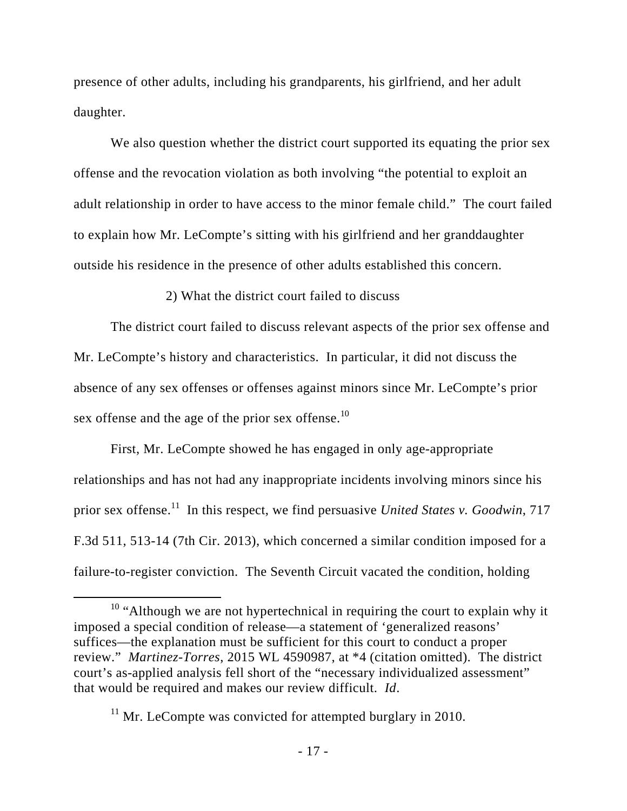presence of other adults, including his grandparents, his girlfriend, and her adult daughter.

We also question whether the district court supported its equating the prior sex offense and the revocation violation as both involving "the potential to exploit an adult relationship in order to have access to the minor female child." The court failed to explain how Mr. LeCompte's sitting with his girlfriend and her granddaughter outside his residence in the presence of other adults established this concern.

2) What the district court failed to discuss

The district court failed to discuss relevant aspects of the prior sex offense and Mr. LeCompte's history and characteristics. In particular, it did not discuss the absence of any sex offenses or offenses against minors since Mr. LeCompte's prior sex offense and the age of the prior sex offense. $10$ 

First, Mr. LeCompte showed he has engaged in only age-appropriate relationships and has not had any inappropriate incidents involving minors since his prior sex offense.11 In this respect, we find persuasive *United States v. Goodwin*, 717 F.3d 511, 513-14 (7th Cir. 2013), which concerned a similar condition imposed for a failure-to-register conviction. The Seventh Circuit vacated the condition, holding

<sup>&</sup>lt;sup>10</sup> "Although we are not hypertechnical in requiring the court to explain why it imposed a special condition of release—a statement of 'generalized reasons' suffices—the explanation must be sufficient for this court to conduct a proper review." *Martinez-Torres*, 2015 WL 4590987, at \*4 (citation omitted). The district court's as-applied analysis fell short of the "necessary individualized assessment" that would be required and makes our review difficult. *Id*.

 $11$  Mr. LeCompte was convicted for attempted burglary in 2010.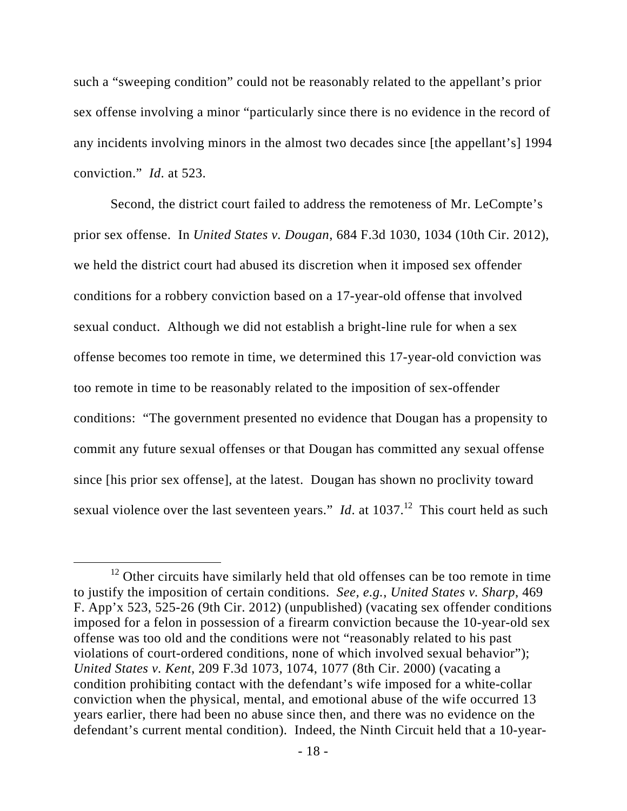such a "sweeping condition" could not be reasonably related to the appellant's prior sex offense involving a minor "particularly since there is no evidence in the record of any incidents involving minors in the almost two decades since [the appellant's] 1994 conviction." *Id*. at 523.

Second, the district court failed to address the remoteness of Mr. LeCompte's prior sex offense. In *United States v. Dougan*, 684 F.3d 1030, 1034 (10th Cir. 2012), we held the district court had abused its discretion when it imposed sex offender conditions for a robbery conviction based on a 17-year-old offense that involved sexual conduct. Although we did not establish a bright-line rule for when a sex offense becomes too remote in time, we determined this 17-year-old conviction was too remote in time to be reasonably related to the imposition of sex-offender conditions: "The government presented no evidence that Dougan has a propensity to commit any future sexual offenses or that Dougan has committed any sexual offense since [his prior sex offense], at the latest. Dougan has shown no proclivity toward sexual violence over the last seventeen years." *Id.* at  $1037$ <sup>12</sup> This court held as such

 $12$  Other circuits have similarly held that old offenses can be too remote in time to justify the imposition of certain conditions. *See, e.g.*, *United States v. Sharp*, 469 F. App'x 523, 525-26 (9th Cir. 2012) (unpublished) (vacating sex offender conditions imposed for a felon in possession of a firearm conviction because the 10-year-old sex offense was too old and the conditions were not "reasonably related to his past violations of court-ordered conditions, none of which involved sexual behavior"); *United States v. Kent*, 209 F.3d 1073, 1074, 1077 (8th Cir. 2000) (vacating a condition prohibiting contact with the defendant's wife imposed for a white-collar conviction when the physical, mental, and emotional abuse of the wife occurred 13 years earlier, there had been no abuse since then, and there was no evidence on the defendant's current mental condition). Indeed, the Ninth Circuit held that a 10-year-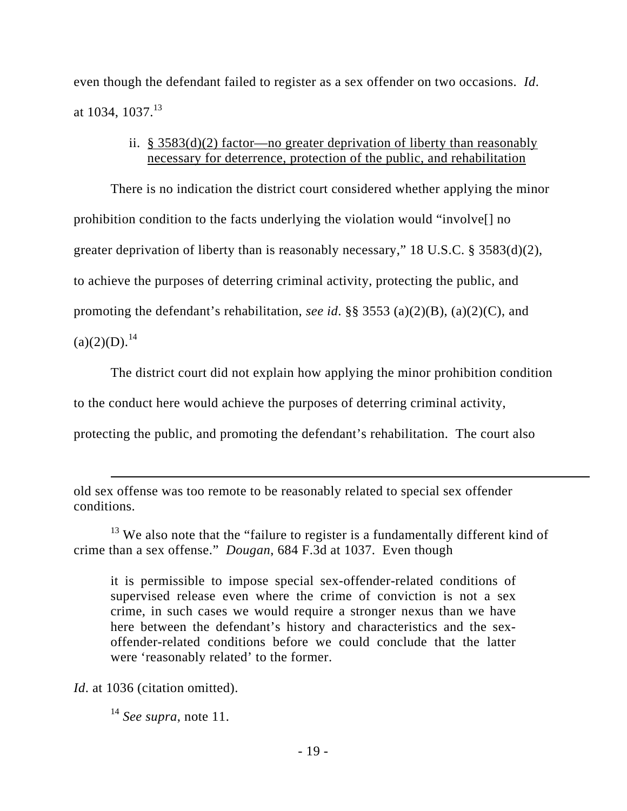even though the defendant failed to register as a sex offender on two occasions. *Id*. at 1034, 1037.<sup>13</sup>

# ii. § 3583(d)(2) factor—no greater deprivation of liberty than reasonably necessary for deterrence, protection of the public, and rehabilitation

There is no indication the district court considered whether applying the minor prohibition condition to the facts underlying the violation would "involve[] no greater deprivation of liberty than is reasonably necessary," 18 U.S.C. § 3583(d)(2), to achieve the purposes of deterring criminal activity, protecting the public, and promoting the defendant's rehabilitation, *see id*. §§ 3553 (a)(2)(B), (a)(2)(C), and  $(a)(2)(D).<sup>14</sup>$ 

The district court did not explain how applying the minor prohibition condition

to the conduct here would achieve the purposes of deterring criminal activity,

protecting the public, and promoting the defendant's rehabilitation. The court also

it is permissible to impose special sex-offender-related conditions of supervised release even where the crime of conviction is not a sex crime, in such cases we would require a stronger nexus than we have here between the defendant's history and characteristics and the sexoffender-related conditions before we could conclude that the latter were 'reasonably related' to the former.

*Id.* at 1036 (citation omitted).

 $\overline{a}$ 

<sup>14</sup> *See supra*, note 11.

old sex offense was too remote to be reasonably related to special sex offender conditions.

<sup>&</sup>lt;sup>13</sup> We also note that the "failure to register is a fundamentally different kind of crime than a sex offense." *Dougan*, 684 F.3d at 1037. Even though